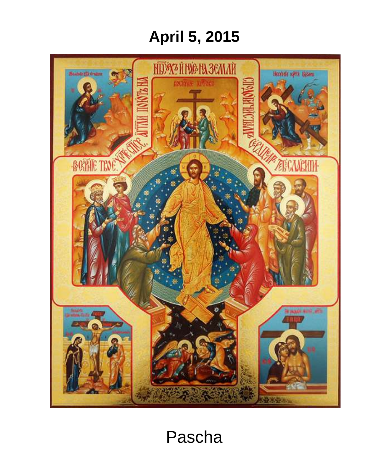# **April 5, 2015**



## Pascha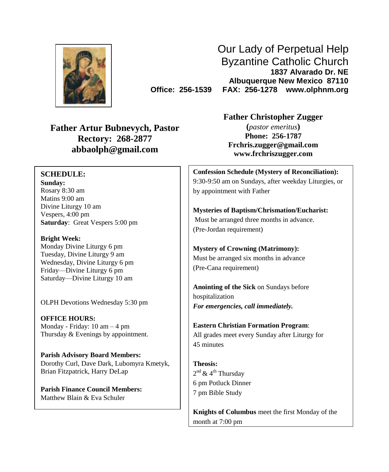

Our Lady of Perpetual Help Byzantine Catholic Church **1837 Alvarado Dr. NE Albuquerque New Mexico 87110 Office: 256-1539 FAX: 256-1278 www.olphnm.org**

**Father Artur Bubnevych, Pastor Rectory: 268-2877 abbaolph@gmail.com**

#### **SCHEDULE:**

**Sunday:** Rosary 8:30 am Matins 9:00 am Divine Liturgy 10 am Vespers, 4:00 pm **Saturday**: Great Vespers 5:00 pm

**Bright Week:** Monday Divine Liturgy 6 pm Tuesday, Divine Liturgy 9 am Wednesday, Divine Liturgy 6 pm Friday—Divine Liturgy 6 pm Saturday—Divine Liturgy 10 am

OLPH Devotions Wednesday 5:30 pm

**OFFICE HOURS:** Monday - Friday: 10 am – 4 pm Thursday & Evenings by appointment.

**Parish Advisory Board Members:** Dorothy Curl, Dave Dark, Lubomyra Kmetyk, Brian Fitzpatrick, Harry DeLap

**Parish Finance Council Members:** Matthew Blain & Eva Schuler

**Father Christopher Zugger**

**(***pastor emeritus***) Phone: 256-1787 [Frchris.zugger@gmail.com](mailto:Frchris.zugger@gmail.com) www.frchriszugger.com**

**Confession Schedule (Mystery of Reconciliation):** 9:30-9:50 am on Sundays, after weekday Liturgies, or by appointment with Father

**Mysteries of Baptism/Chrismation/Eucharist:** Must be arranged three months in advance. (Pre-Jordan requirement)

**Mystery of Crowning (Matrimony):** Must be arranged six months in advance (Pre-Cana requirement)

**Anointing of the Sick** on Sundays before hospitalization *For emergencies, call immediately.*

**Eastern Christian Formation Program**: All grades meet every Sunday after Liturgy for 45 minutes

**Theosis:** 2<sup>nd</sup> & 4<sup>th</sup> Thursday 6 pm Potluck Dinner 7 pm Bible Study

**Knights of Columbus** meet the first Monday of the month at 7:00 pm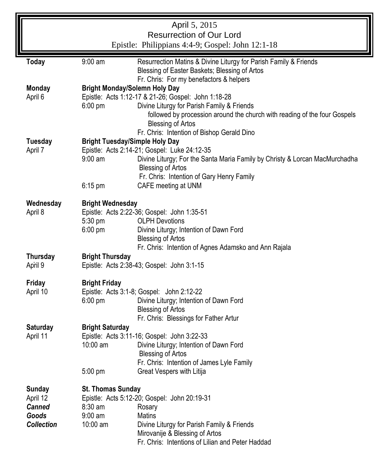| April 5, 2015                                    |                                                                                             |                                                                                                                             |  |  |  |  |  |
|--------------------------------------------------|---------------------------------------------------------------------------------------------|-----------------------------------------------------------------------------------------------------------------------------|--|--|--|--|--|
| <b>Resurrection of Our Lord</b>                  |                                                                                             |                                                                                                                             |  |  |  |  |  |
| Epistle: Philippians 4:4-9; Gospel: John 12:1-18 |                                                                                             |                                                                                                                             |  |  |  |  |  |
| <b>Today</b>                                     | $9:00$ am<br>Resurrection Matins & Divine Liturgy for Parish Family & Friends               |                                                                                                                             |  |  |  |  |  |
|                                                  |                                                                                             | Blessing of Easter Baskets; Blessing of Artos                                                                               |  |  |  |  |  |
|                                                  |                                                                                             | Fr. Chris: For my benefactors & helpers                                                                                     |  |  |  |  |  |
| <b>Monday</b><br>April 6                         | <b>Bright Monday/Solemn Holy Day</b><br>Epistle: Acts 1:12-17 & 21-26; Gospel: John 1:18-28 |                                                                                                                             |  |  |  |  |  |
|                                                  | $6:00 \text{ pm}$                                                                           | Divine Liturgy for Parish Family & Friends                                                                                  |  |  |  |  |  |
|                                                  |                                                                                             | followed by procession around the church with reading of the four Gospels                                                   |  |  |  |  |  |
|                                                  | <b>Blessing of Artos</b>                                                                    |                                                                                                                             |  |  |  |  |  |
|                                                  | Fr. Chris: Intention of Bishop Gerald Dino                                                  |                                                                                                                             |  |  |  |  |  |
| <b>Tuesday</b>                                   |                                                                                             | <b>Bright Tuesday/Simple Holy Day</b>                                                                                       |  |  |  |  |  |
| April 7                                          | $9:00$ am                                                                                   | Epistle: Acts 2:14-21; Gospel: Luke 24:12-35<br>Divine Liturgy; For the Santa Maria Family by Christy & Lorcan MacMurchadha |  |  |  |  |  |
|                                                  |                                                                                             | <b>Blessing of Artos</b>                                                                                                    |  |  |  |  |  |
|                                                  |                                                                                             | Fr. Chris: Intention of Gary Henry Family                                                                                   |  |  |  |  |  |
|                                                  | $6:15$ pm                                                                                   | CAFE meeting at UNM                                                                                                         |  |  |  |  |  |
| Wednesday                                        | <b>Bright Wednesday</b>                                                                     |                                                                                                                             |  |  |  |  |  |
| April 8                                          |                                                                                             | Epistle: Acts 2:22-36; Gospel: John 1:35-51                                                                                 |  |  |  |  |  |
|                                                  | 5:30 pm                                                                                     | <b>OLPH Devotions</b>                                                                                                       |  |  |  |  |  |
|                                                  | 6:00 pm                                                                                     | Divine Liturgy; Intention of Dawn Ford                                                                                      |  |  |  |  |  |
|                                                  |                                                                                             | <b>Blessing of Artos</b>                                                                                                    |  |  |  |  |  |
|                                                  |                                                                                             | Fr. Chris: Intention of Agnes Adamsko and Ann Rajala                                                                        |  |  |  |  |  |
| Thursday<br>April 9                              |                                                                                             | <b>Bright Thursday</b><br>Epistle: Acts 2:38-43; Gospel: John 3:1-15                                                        |  |  |  |  |  |
|                                                  |                                                                                             |                                                                                                                             |  |  |  |  |  |
| Friday                                           | <b>Bright Friday</b>                                                                        |                                                                                                                             |  |  |  |  |  |
| April 10                                         | Epistle: Acts 3:1-8; Gospel: John 2:12-22                                                   |                                                                                                                             |  |  |  |  |  |
|                                                  | 6:00 pm                                                                                     | Divine Liturgy; Intention of Dawn Ford<br><b>Blessing of Artos</b>                                                          |  |  |  |  |  |
|                                                  |                                                                                             | Fr. Chris: Blessings for Father Artur                                                                                       |  |  |  |  |  |
| Saturday                                         | <b>Bright Saturday</b>                                                                      |                                                                                                                             |  |  |  |  |  |
| April 11                                         |                                                                                             | Epistle: Acts 3:11-16; Gospel: John 3:22-33                                                                                 |  |  |  |  |  |
|                                                  | $10:00$ am                                                                                  | Divine Liturgy; Intention of Dawn Ford                                                                                      |  |  |  |  |  |
|                                                  |                                                                                             | <b>Blessing of Artos</b>                                                                                                    |  |  |  |  |  |
|                                                  | 5:00 pm                                                                                     | Fr. Chris: Intention of James Lyle Family<br>Great Vespers with Litija                                                      |  |  |  |  |  |
|                                                  |                                                                                             |                                                                                                                             |  |  |  |  |  |
| Sunday                                           | St. Thomas Sunday                                                                           |                                                                                                                             |  |  |  |  |  |
| April 12                                         |                                                                                             | Epistle: Acts 5:12-20; Gospel: John 20:19-31                                                                                |  |  |  |  |  |
| <b>Canned</b>                                    | $8:30$ am                                                                                   | Rosary                                                                                                                      |  |  |  |  |  |
| Goods                                            | $9:00$ am<br>10:00 am                                                                       | Matins                                                                                                                      |  |  |  |  |  |
| <b>Collection</b>                                |                                                                                             | Divine Liturgy for Parish Family & Friends<br>Mirovanije & Blessing of Artos                                                |  |  |  |  |  |
| Fr. Chris: Intentions of Lilian and Peter Haddad |                                                                                             |                                                                                                                             |  |  |  |  |  |
|                                                  |                                                                                             |                                                                                                                             |  |  |  |  |  |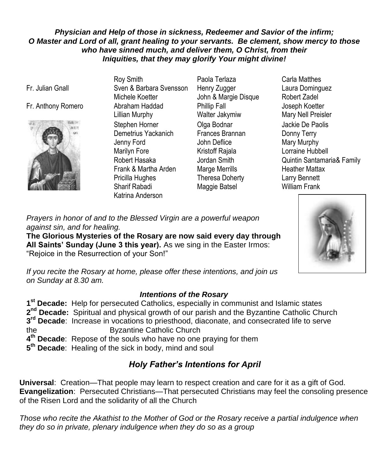#### *Physician and Help of those in sickness, Redeemer and Savior of the infirm; O Master and Lord of all, grant healing to your servants. Be clement, show mercy to those who have sinned much, and deliver them, O Christ, from their Iniquities, that they may glorify Your might divine!*

Fr. Julian Gnall

#### Fr. Anthony Romero Abraham Haddad



Roy Smith Sven & Barbara Svensson Michele Koetter Lillian Murphy Stephen Horner Demetrius Yackanich Jenny Ford Marilyn Fore Robert Hasaka Frank & Martha Arden Pricilla Hughes Sharif Rabadi Katrina Anderson

- Paola Terlaza Henry Zugger John & Margie Disque Phillip Fall Walter Jakymiw Olga Bodnar Frances Brannan John Deflice Kristoff Rajala Jordan Smith Marge Merrills Theresa Doherty Maggie Batsel
- Carla Matthes Laura Dominguez Robert Zadel Joseph Koetter Mary Nell Preisler Jackie De Paolis Donny Terry Mary Murphy Lorraine Hubbell Quintin Santamaria& Family Heather Mattax Larry Bennett William Frank



*Prayers in honor of and to the Blessed Virgin are a powerful weapon against sin, and for healing.* 

**The Glorious Mysteries of the Rosary are now said every day through All Saints' Sunday (June 3 this year).** As we sing in the Easter Irmos: "Rejoice in the Resurrection of your Son!"

*If you recite the Rosary at home, please offer these intentions, and join us on Sunday at 8.30 am.*

#### *Intentions of the Rosary*

 **st Decade:** Help for persecuted Catholics, especially in communist and Islamic states 2<sup>nd</sup> Decade: Spiritual and physical growth of our parish and the Byzantine Catholic Church **rd Decade**: Increase in vocations to priesthood, diaconate, and consecrated life to serve the Byzantine Catholic Church **th Decade**: Repose of the souls who have no one praying for them **th Decade**: Healing of the sick in body, mind and soul

### *Holy Father's Intentions for April*

**Universal**: Creation—That people may learn to respect creation and care for it as a gift of God. **Evangelization**: Persecuted Christians—That persecuted Christians may feel the consoling presence of the Risen Lord and the solidarity of all the Church

*Those who recite the Akathist to the Mother of God or the Rosary receive a partial indulgence when they do so in private, plenary indulgence when they do so as a group*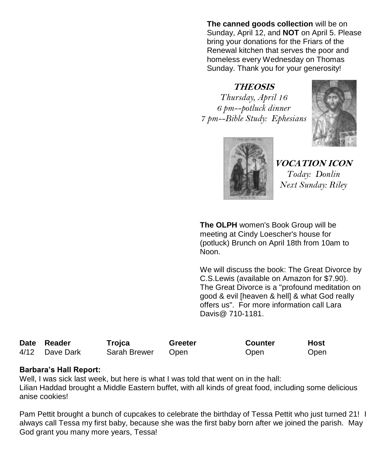**The canned goods collection** will be on Sunday, April 12, and **NOT** on April 5. Please bring your donations for the Friars of the Renewal kitchen that serves the poor and homeless every Wednesday on Thomas Sunday. Thank you for your generosity!

## **THEOSIS**

*Thursday, April 16 6 pm--potluck dinner 7 pm--Bible Study: Ephesians*





**VOCATION ICON** *Today: Donlin Next Sunday: Riley*

**The OLPH** women's Book Group will be meeting at Cindy Loescher's house for (potluck) Brunch on April 18th from 10am to Noon.

We will discuss the book: The Great Divorce by C.S.Lewis (available on Amazon for \$7.90). The Great Divorce is a "profound meditation on good & evil [heaven & hell] & what God really offers us". For more information call Lara Davis@ 710-1181.

| Date Reader    | Trojca       | Greeter     | <b>Counter</b> | Host |
|----------------|--------------|-------------|----------------|------|
| 4/12 Dave Dark | Sarah Brewer | <b>Open</b> | Open           | Open |

#### **Barbara's Hall Report:**

Well, I was sick last week, but here is what I was told that went on in the hall: Lilian Haddad brought a Middle Eastern buffet, with all kinds of great food, including some delicious anise cookies!

Pam Pettit brought a bunch of cupcakes to celebrate the birthday of Tessa Pettit who just turned 21! I always call Tessa my first baby, because she was the first baby born after we joined the parish. May God grant you many more years, Tessa!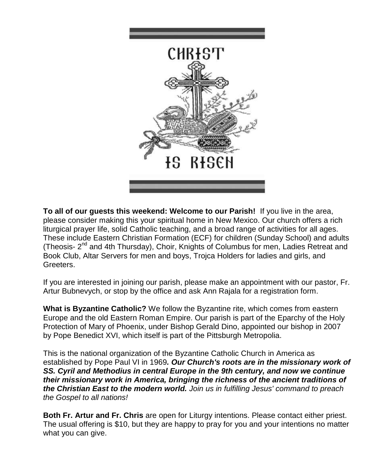

**To all of our guests this weekend: Welcome to our Parish!** If you live in the area, please consider making this your spiritual home in New Mexico. Our church offers a rich liturgical prayer life, solid Catholic teaching, and a broad range of activities for all ages. These include Eastern Christian Formation (ECF) for children (Sunday School) and adults (Theosis- 2<sup>nd</sup> and 4th Thursday), Choir, Knights of Columbus for men, Ladies Retreat and Book Club, Altar Servers for men and boys, Trojca Holders for ladies and girls, and Greeters.

If you are interested in joining our parish, please make an appointment with our pastor, Fr. Artur Bubnevych, or stop by the office and ask Ann Rajala for a registration form.

**What is Byzantine Catholic?** We follow the Byzantine rite, which comes from eastern Europe and the old Eastern Roman Empire. Our parish is part of the Eparchy of the Holy Protection of Mary of Phoenix, under Bishop Gerald Dino, appointed our bishop in 2007 by Pope Benedict XVI, which itself is part of the Pittsburgh Metropolia.

This is the national organization of the Byzantine Catholic Church in America as established by Pope Paul VI in 1969*. Our Church's roots are in the missionary work of SS. Cyril and Methodius in central Europe in the 9th century, and now we continue their missionary work in America, bringing the richness of the ancient traditions of the Christian East to the modern world. Join us in fulfilling Jesus' command to preach the Gospel to all nations!* 

**Both Fr. Artur and Fr. Chris** are open for Liturgy intentions. Please contact either priest. The usual offering is \$10, but they are happy to pray for you and your intentions no matter what you can give.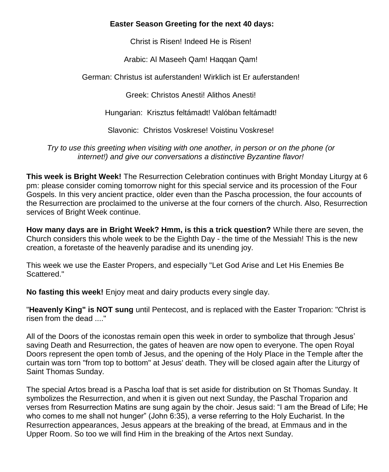#### **Easter Season Greeting for the next 40 days:**

Christ is Risen! Indeed He is Risen!

Arabic: Al Maseeh Qam! Haqqan Qam!

German: Christus ist auferstanden! Wirklich ist Er auferstanden!

Greek: Christos Anesti! Alithos Anesti!

Hungarian: Krisztus feltámadt! Valóban feltámadt!

Slavonic: Christos Voskrese! Voistinu Voskrese!

*Try to use this greeting when visiting with one another, in person or on the phone (or internet!) and give our conversations a distinctive Byzantine flavor!*

**This week is Bright Week!** The Resurrection Celebration continues with Bright Monday Liturgy at 6 pm: please consider coming tomorrow night for this special service and its procession of the Four Gospels. In this very ancient practice, older even than the Pascha procession, the four accounts of the Resurrection are proclaimed to the universe at the four corners of the church. Also, Resurrection services of Bright Week continue.

**How many days are in Bright Week? Hmm, is this a trick question?** While there are seven, the Church considers this whole week to be the Eighth Day - the time of the Messiah! This is the new creation, a foretaste of the heavenly paradise and its unending joy.

This week we use the Easter Propers, and especially "Let God Arise and Let His Enemies Be Scattered."

**No fasting this week!** Enjoy meat and dairy products every single day.

"**Heavenly King" is NOT sung** until Pentecost, and is replaced with the Easter Troparion: "Christ is risen from the dead ...."

All of the Doors of the iconostas remain open this week in order to symbolize that through Jesus' saving Death and Resurrection, the gates of heaven are now open to everyone. The open Royal Doors represent the open tomb of Jesus, and the opening of the Holy Place in the Temple after the curtain was torn "from top to bottom" at Jesus' death. They will be closed again after the Liturgy of Saint Thomas Sunday.

The special Artos bread is a Pascha loaf that is set aside for distribution on St Thomas Sunday. It symbolizes the Resurrection, and when it is given out next Sunday, the Paschal Troparion and verses from Resurrection Matins are sung again by the choir. Jesus said: "I am the Bread of Life; He who comes to me shall not hunger" (John 6:35), a verse referring to the Holy Eucharist. In the Resurrection appearances, Jesus appears at the breaking of the bread, at Emmaus and in the Upper Room. So too we will find Him in the breaking of the Artos next Sunday.